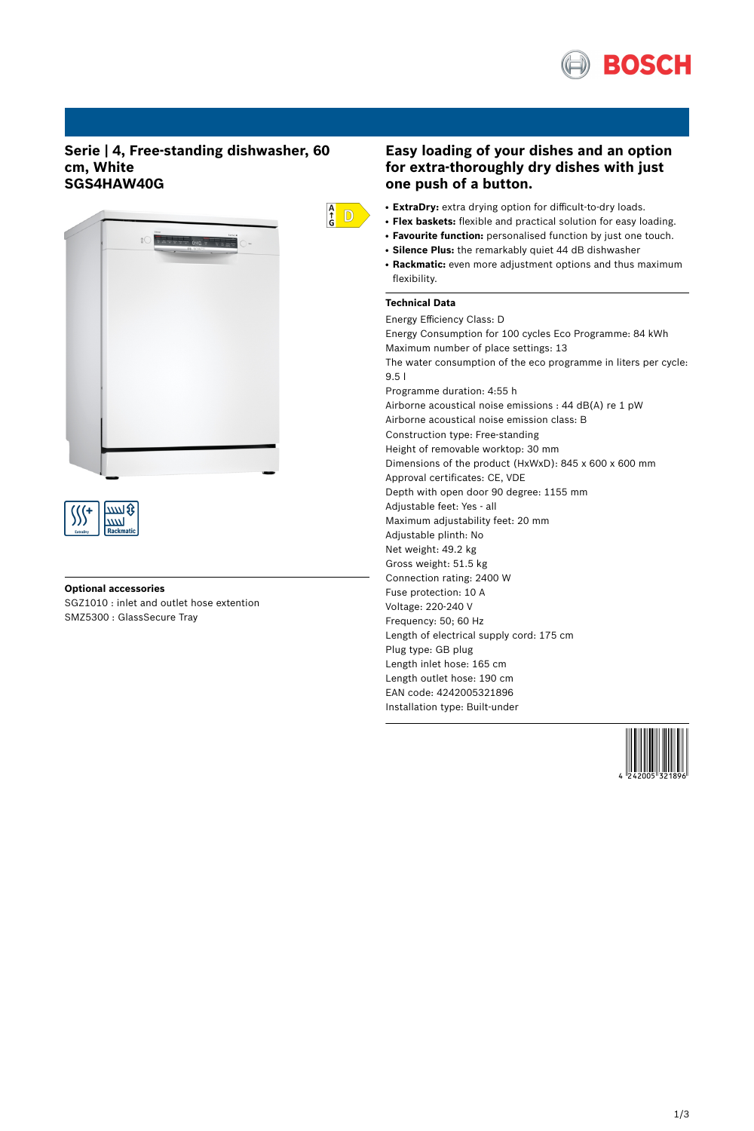

## **Serie | 4, Free-standing dishwasher, 60 cm, White SGS4HAW40G**



# **Optional accessories**

ww

SGZ1010 : inlet and outlet hose extention SMZ5300 : GlassSecure Tray

## **Easy loading of your dishes and an option for extra-thoroughly dry dishes with just one push of a button.**

- ExtraDry: extra drying option for difficult-to-dry loads.
- **Flex baskets:** flexible and practical solution for easy loading.
- **Favourite function:** personalised function by just one touch.
- **Silence Plus:** the remarkably quiet 44 dB dishwasher
- Rackmatic: even more adjustment options and thus maximum flexibility.

## **Technical Data**

 $\frac{A}{G}$  D

Energy Efficiency Class: D Energy Consumption for 100 cycles Eco Programme: 84 kWh Maximum number of place settings: 13 The water consumption of the eco programme in liters per cycle: 9.5 l Programme duration: 4:55 h Airborne acoustical noise emissions : 44 dB(A) re 1 pW Airborne acoustical noise emission class: B Construction type: Free-standing Height of removable worktop: 30 mm Dimensions of the product (HxWxD): 845 x 600 x 600 mm Approval certificates: CE, VDE Depth with open door 90 degree: 1155 mm Adjustable feet: Yes - all Maximum adjustability feet: 20 mm Adjustable plinth: No Net weight: 49.2 kg Gross weight: 51.5 kg Connection rating: 2400 W Fuse protection: 10 A Voltage: 220-240 V Frequency: 50; 60 Hz Length of electrical supply cord: 175 cm Plug type: GB plug Length inlet hose: 165 cm Length outlet hose: 190 cm EAN code: 4242005321896 Installation type: Built-under

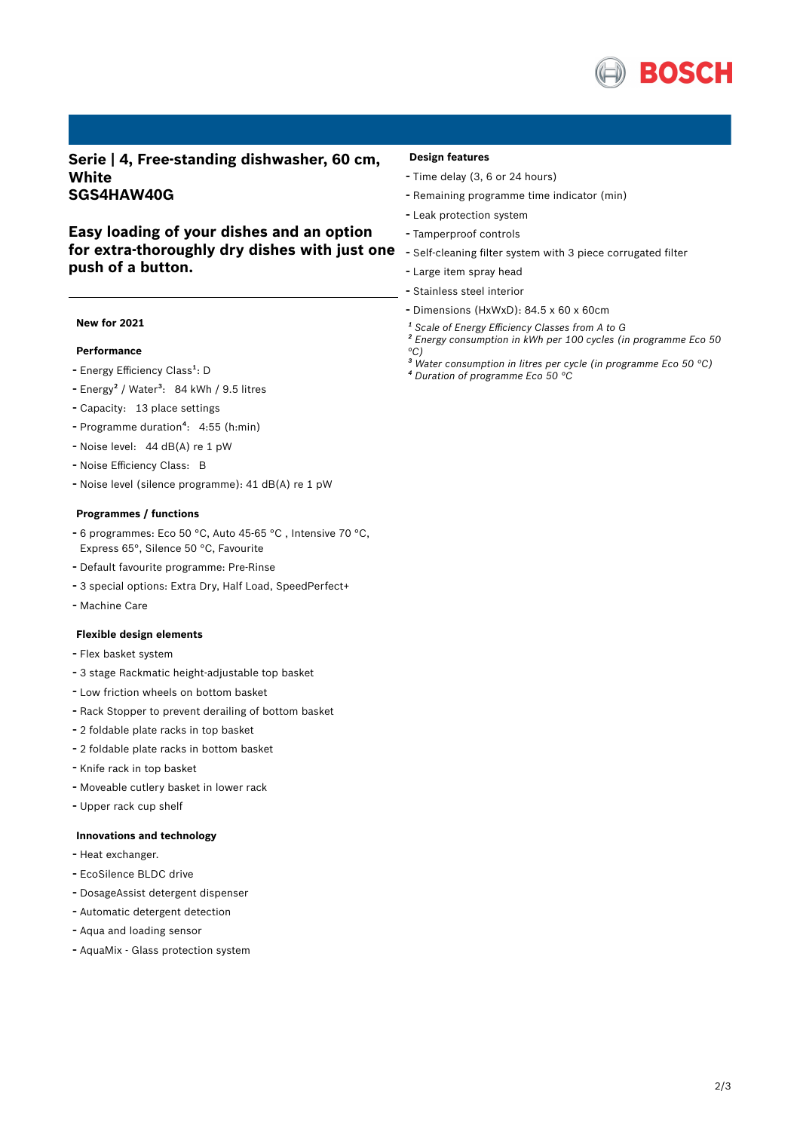

**Serie | 4, Free-standing dishwasher, 60 cm, White SGS4HAW40G**

## **Easy loading of your dishes and an option for extra-thoroughly dry dishes with just one push of a button.**

### **New for 2021**

## **Performance**

- Energy Efficiency Class<sup>1</sup>: D
- Energy<sup>2</sup> / Water<sup>3</sup>: 84 kWh / 9.5 litres
- Capacity: <sup>13</sup> place settings
- Programme duration<sup>4</sup>: 4:55 (h:min)
- Noise level: <sup>44</sup> dB(A) re <sup>1</sup> pW
- Noise Efficiency Class: <sup>B</sup>
- Noise level (silence programme): <sup>41</sup> dB(A) re <sup>1</sup> pW

### **Programmes / functions**

- <sup>6</sup> programmes: Eco <sup>50</sup> °C, Auto 45-65 °C , Intensive <sup>70</sup> °C, Express 65°, Silence 50 °C, Favourite
- Default favourite programme: Pre-Rinse
- <sup>3</sup> special options: Extra Dry, Half Load, SpeedPerfect+
- Machine Care

### **Flexible design elements**

- Flex basket system
- <sup>3</sup> stage Rackmatic height-adjustable top basket
- Low friction wheels on bottom basket
- Rack Stopper to prevent derailing of bottom basket
- <sup>2</sup> foldable plate racks in top basket
- <sup>2</sup> foldable plate racks in bottom basket
- Knife rack in top basket
- Moveable cutlery basket in lower rack
- Upper rack cup shelf

#### **Innovations and technology**

- Heat exchanger.
- EcoSilence BLDC drive
- DosageAssist detergent dispenser
- Automatic detergent detection
- Aqua and loading sensor
- AquaMix Glass protection system

#### **Design features**

- Time delay (3, <sup>6</sup> or <sup>24</sup> hours)
- Remaining programme time indicator (min)
- Leak protection system
- Tamperproof controls
- Self-cleaning filter system with <sup>3</sup> piece corrugated filter
- Large item spray head
- Stainless steel interior
- Dimensions (HxWxD): 84.5 x 60 x 60cm
- *¹ Scale of Energy Efficiency Classes from A to G*
- *² Energy consumption in kWh per 100 cycles (in programme Eco 50 °C)*
- *³ Water consumption in litres per cycle (in programme Eco 50 °C) ⁴ Duration of programme Eco 50 °C*